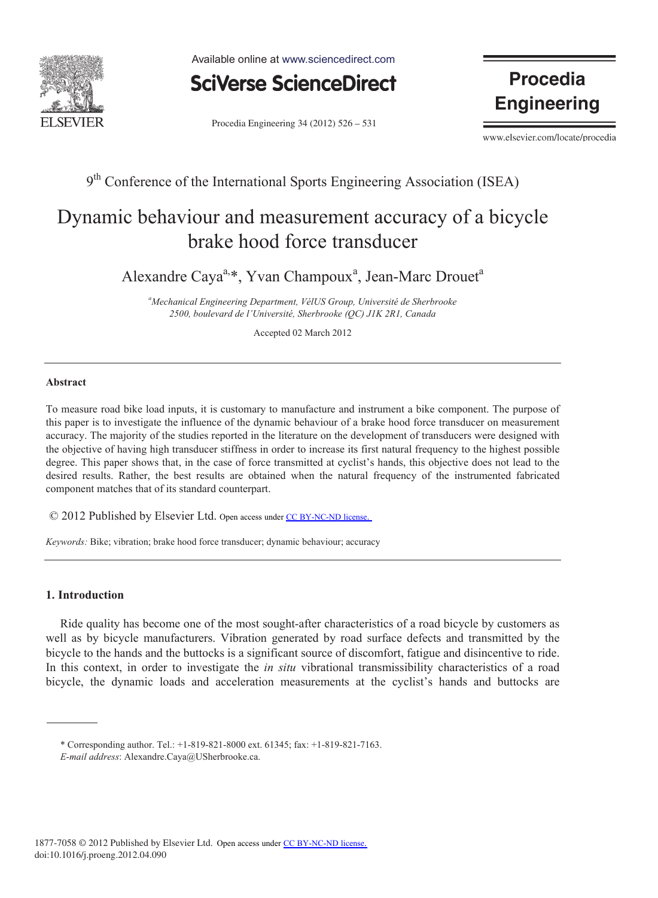

Available online at www.sciencedirect.com



Procedia Engineering 34 (2012) 526 - 531

**Procedia Engineering** 

www.elsevier.com/locate/procedia

9<sup>th</sup> Conference of the International Sports Engineering Association (ISEA)

# Dynamic behaviour and measurement accuracy of a bicycle brake hood force transducer

Alexandre Caya<sup>a,\*</sup>, Yvan Champoux<sup>a</sup>, Jean-Marc Drouet<sup>a</sup>

*a Mechanical Engineering Department, VélUS Group, Université de Sherbrooke 2500, boulevard de l'Université, Sherbrooke (QC) J1K 2R1, Canada* 

Accepted 02 March 2012

## **Abstract**

To measure road bike load inputs, it is customary to manufacture and instrument a bike component. The purpose of this paper is to investigate the influence of the dynamic behaviour of a brake hood force transducer on measurement accuracy. The majority of the studies reported in the literature on the development of transducers were designed with the objective of having high transducer stiffness in order to increase its first natural frequency to the highest possible degree. This paper shows that, in the case of force transmitted at cyclist's hands, this objective does not lead to the desired results. Rather, the best results are obtained when the natural frequency of the instrumented fabricated component matches that of its standard counterpart.

© 2012 Published by Elsevier Ltd. Open access under [CC BY-NC-ND license](http://creativecommons.org/licenses/by-nc-nd/3.0/).

*Keywords:* Bike; vibration; brake hood force transducer; dynamic behaviour; accuracy

# **1. Introduction**

Ride quality has become one of the most sought-after characteristics of a road bicycle by customers as well as by bicycle manufacturers. Vibration generated by road surface defects and transmitted by the bicycle to the hands and the buttocks is a significant source of discomfort, fatigue and disincentive to ride. In this context, in order to investigate the *in situ* vibrational transmissibility characteristics of a road bicycle, the dynamic loads and acceleration measurements at the cyclist's hands and buttocks are

<sup>\*</sup> Corresponding author. Tel.: +1-819-821-8000 ext. 61345; fax: +1-819-821-7163.

*E-mail address*: Alexandre.Caya@USherbrooke.ca.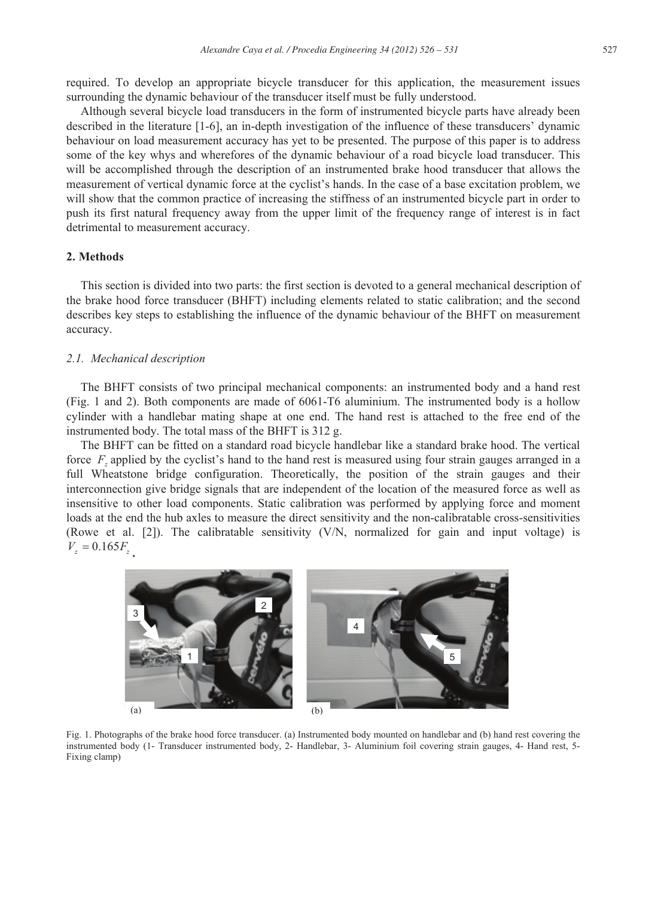required. To develop an appropriate bicycle transducer for this application, the measurement issues surrounding the dynamic behaviour of the transducer itself must be fully understood.

Although several bicycle load transducers in the form of instrumented bicycle parts have already been described in the literature [1-6], an in-depth investigation of the influence of these transducers' dynamic behaviour on load measurement accuracy has yet to be presented. The purpose of this paper is to address some of the key whys and wherefores of the dynamic behaviour of a road bicycle load transducer. This will be accomplished through the description of an instrumented brake hood transducer that allows the measurement of vertical dynamic force at the cyclist's hands. In the case of a base excitation problem, we will show that the common practice of increasing the stiffness of an instrumented bicycle part in order to push its first natural frequency away from the upper limit of the frequency range of interest is in fact detrimental to measurement accuracy.

## **2. Methods**

This section is divided into two parts: the first section is devoted to a general mechanical description of the brake hood force transducer (BHFT) including elements related to static calibration; and the second describes key steps to establishing the influence of the dynamic behaviour of the BHFT on measurement accuracy.

## *2.1. Mechanical description*

The BHFT consists of two principal mechanical components: an instrumented body and a hand rest (Fig. 1 and 2). Both components are made of 6061-T6 aluminium. The instrumented body is a hollow cylinder with a handlebar mating shape at one end. The hand rest is attached to the free end of the instrumented body. The total mass of the BHFT is 312 g.

The BHFT can be fitted on a standard road bicycle handlebar like a standard brake hood. The vertical force *F<sub>z</sub>* applied by the cyclist's hand to the hand rest is measured using four strain gauges arranged in a full Wheatstone bridge configuration. Theoretically, the position of the strain gauges and their interconnection give bridge signals that are independent of the location of the measured force as well as insensitive to other load components. Static calibration was performed by applying force and moment loads at the end the hub axles to measure the direct sensitivity and the non-calibratable cross-sensitivities (Rowe et al. [2]). The calibratable sensitivity (V/N, normalized for gain and input voltage) is  $V_z = 0.165 F_z$ 



Fig. 1. Photographs of the brake hood force transducer. (a) Instrumented body mounted on handlebar and (b) hand rest covering the instrumented body (1- Transducer instrumented body, 2- Handlebar, 3- Aluminium foil covering strain gauges, 4- Hand rest, 5- Fixing clamp)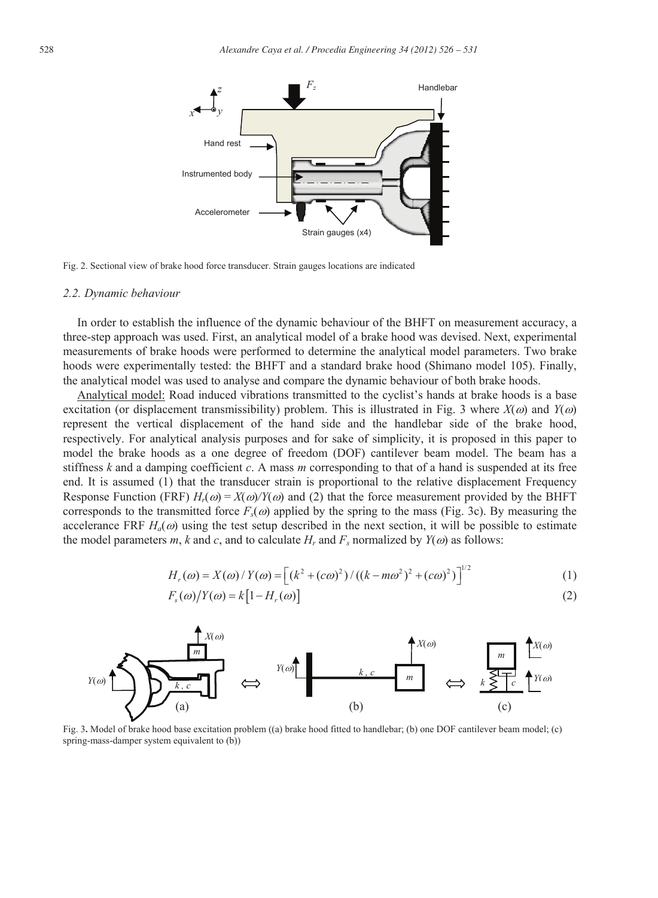

Fig. 2. Sectional view of brake hood force transducer. Strain gauges locations are indicated

#### *2.2. Dynamic behaviour*

In order to establish the influence of the dynamic behaviour of the BHFT on measurement accuracy, a three-step approach was used. First, an analytical model of a brake hood was devised. Next, experimental measurements of brake hoods were performed to determine the analytical model parameters. Two brake hoods were experimentally tested: the BHFT and a standard brake hood (Shimano model 105). Finally, the analytical model was used to analyse and compare the dynamic behaviour of both brake hoods.

Analytical model: Road induced vibrations transmitted to the cyclist's hands at brake hoods is a base excitation (or displacement transmissibility) problem. This is illustrated in Fig. 3 where  $X(\omega)$  and  $Y(\omega)$ represent the vertical displacement of the hand side and the handlebar side of the brake hood, respectively. For analytical analysis purposes and for sake of simplicity, it is proposed in this paper to model the brake hoods as a one degree of freedom (DOF) cantilever beam model. The beam has a stiffness *k* and a damping coefficient *c*. A mass *m* corresponding to that of a hand is suspended at its free end. It is assumed (1) that the transducer strain is proportional to the relative displacement Frequency Response Function (FRF)  $H_r(\omega) = X(\omega)/Y(\omega)$  and (2) that the force measurement provided by the BHFT corresponds to the transmitted force  $F_s(\omega)$  applied by the spring to the mass (Fig. 3c). By measuring the accelerance FRF  $H_a(\omega)$  using the test setup described in the next section, it will be possible to estimate the model parameters *m*, *k* and *c*, and to calculate  $H_r$  and  $F_s$  normalized by  $Y(\omega)$  as follows:

$$
H_r(\omega) = X(\omega) / Y(\omega) = \left[ \left( k^2 + (c\omega)^2 \right) / \left( (k - m\omega^2)^2 + (c\omega)^2 \right) \right]^{1/2}
$$
 (1)

$$
F_s(\omega)/Y(\omega) = k[1 - H_r(\omega)]
$$
\n(2)



Fig. 3**.** Model of brake hood base excitation problem ((a) brake hood fitted to handlebar; (b) one DOF cantilever beam model; (c) spring-mass-damper system equivalent to (b))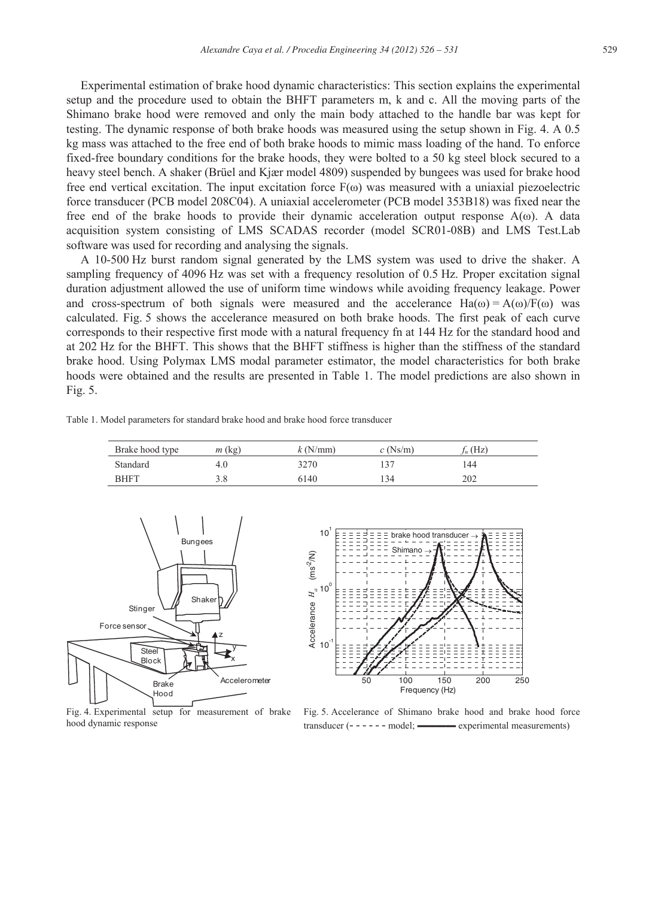Experimental estimation of brake hood dynamic characteristics: This section explains the experimental setup and the procedure used to obtain the BHFT parameters m, k and c. All the moving parts of the Shimano brake hood were removed and only the main body attached to the handle bar was kept for testing. The dynamic response of both brake hoods was measured using the setup shown in Fig. 4. A 0.5 kg mass was attached to the free end of both brake hoods to mimic mass loading of the hand. To enforce fixed-free boundary conditions for the brake hoods, they were bolted to a 50 kg steel block secured to a heavy steel bench. A shaker (Brüel and Kjær model 4809) suspended by bungees was used for brake hood free end vertical excitation. The input excitation force  $F(\omega)$  was measured with a uniaxial piezoelectric force transducer (PCB model 208C04). A uniaxial accelerometer (PCB model 353B18) was fixed near the free end of the brake hoods to provide their dynamic acceleration output response  $A(\omega)$ . A data acquisition system consisting of LMS SCADAS recorder (model SCR01-08B) and LMS Test.Lab software was used for recording and analysing the signals.

A 10-500 Hz burst random signal generated by the LMS system was used to drive the shaker. A sampling frequency of 4096 Hz was set with a frequency resolution of 0.5 Hz. Proper excitation signal duration adjustment allowed the use of uniform time windows while avoiding frequency leakage. Power and cross-spectrum of both signals were measured and the accelerance  $Ha(\omega) = A(\omega)/F(\omega)$  was calculated. Fig. 5 shows the accelerance measured on both brake hoods. The first peak of each curve corresponds to their respective first mode with a natural frequency fn at 144 Hz for the standard hood and at 202 Hz for the BHFT. This shows that the BHFT stiffness is higher than the stiffness of the standard brake hood. Using Polymax LMS modal parameter estimator, the model characteristics for both brake hoods were obtained and the results are presented in Table 1. The model predictions are also shown in Fig. 5.

| Table 1. Model parameters for standard brake hood and brake hood force transducer |  |  |  |  |  |  |
|-----------------------------------------------------------------------------------|--|--|--|--|--|--|
|-----------------------------------------------------------------------------------|--|--|--|--|--|--|

| Brake hood type | $m$ (kg)   | k(N/mm) | $c$ (Ns/m) | $f_n$ (Hz) |
|-----------------|------------|---------|------------|------------|
| Standard        | 4.0        | 3270    | 137        | 144        |
| <b>BHFT</b>     | ט כ<br>5.0 | 6140    | 134        | 202        |





Fig. 4. Experimental setup for measurement of brake hood dynamic response

Fig. 5. Accelerance of Shimano brake hood and brake hood force  $transducer$  (- - - - - - model;  $\longrightarrow$  experimental measurements)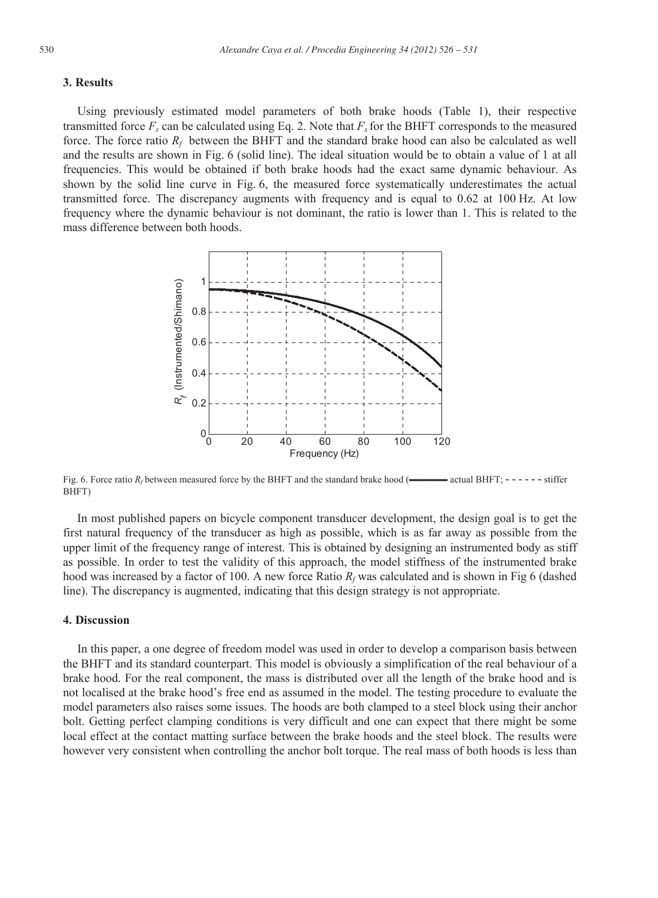# **3. Results**

Using previously estimated model parameters of both brake hoods (Table 1), their respective transmitted force  $F_s$  can be calculated using Eq. 2. Note that  $F_s$  for the BHFT corresponds to the measured force. The force ratio  $R_f$  between the BHFT and the standard brake hood can also be calculated as well and the results are shown in Fig. 6 (solid line). The ideal situation would be to obtain a value of 1 at all frequencies. This would be obtained if both brake hoods had the exact same dynamic behaviour. As shown by the solid line curve in Fig. 6, the measured force systematically underestimates the actual transmitted force. The discrepancy augments with frequency and is equal to 0.62 at 100 Hz. At low frequency where the dynamic behaviour is not dominant, the ratio is lower than 1. This is related to the mass difference between both hoods.



Fig. 6. Force ratio  $R_f$  between measured force by the BHFT and the standard brake hood ( $\longrightarrow \longrightarrow$  actual BHFT; - - - - - - stiffer BHFT)

In most published papers on bicycle component transducer development, the design goal is to get the first natural frequency of the transducer as high as possible, which is as far away as possible from the upper limit of the frequency range of interest. This is obtained by designing an instrumented body as stiff as possible. In order to test the validity of this approach, the model stiffness of the instrumented brake hood was increased by a factor of 100. A new force Ratio  $R_f$  was calculated and is shown in Fig 6 (dashed line). The discrepancy is augmented, indicating that this design strategy is not appropriate.

## **4. Discussion**

In this paper, a one degree of freedom model was used in order to develop a comparison basis between the BHFT and its standard counterpart. This model is obviously a simplification of the real behaviour of a brake hood. For the real component, the mass is distributed over all the length of the brake hood and is not localised at the brake hood's free end as assumed in the model. The testing procedure to evaluate the model parameters also raises some issues. The hoods are both clamped to a steel block using their anchor bolt. Getting perfect clamping conditions is very difficult and one can expect that there might be some local effect at the contact matting surface between the brake hoods and the steel block. The results were however very consistent when controlling the anchor bolt torque. The real mass of both hoods is less than